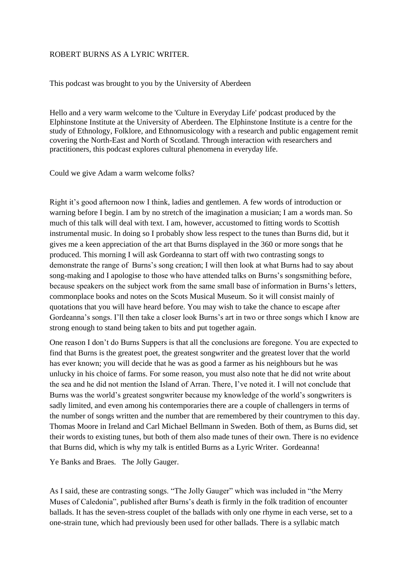## ROBERT BURNS AS A LYRIC WRITER.

This podcast was brought to you by the University of Aberdeen

Hello and a very warm welcome to the 'Culture in Everyday Life' podcast produced by the Elphinstone Institute at the University of Aberdeen. The Elphinstone Institute is a centre for the study of Ethnology, Folklore, and Ethnomusicology with a research and public engagement remit covering the North-East and North of Scotland. Through interaction with researchers and practitioners, this podcast explores cultural phenomena in everyday life.

Could we give Adam a warm welcome folks?

Right it's good afternoon now I think, ladies and gentlemen. A few words of introduction or warning before I begin. I am by no stretch of the imagination a musician; I am a words man. So much of this talk will deal with text. I am, however, accustomed to fitting words to Scottish instrumental music. In doing so I probably show less respect to the tunes than Burns did, but it gives me a keen appreciation of the art that Burns displayed in the 360 or more songs that he produced. This morning I will ask Gordeanna to start off with two contrasting songs to demonstrate the range of Burns's song creation; I will then look at what Burns had to say about song-making and I apologise to those who have attended talks on Burns's songsmithing before, because speakers on the subject work from the same small base of information in Burns's letters, commonplace books and notes on the Scots Musical Museum. So it will consist mainly of quotations that you will have heard before. You may wish to take the chance to escape after Gordeanna's songs. I'll then take a closer look Burns's art in two or three songs which I know are strong enough to stand being taken to bits and put together again.

One reason I don't do Burns Suppers is that all the conclusions are foregone. You are expected to find that Burns is the greatest poet, the greatest songwriter and the greatest lover that the world has ever known; you will decide that he was as good a farmer as his neighbours but he was unlucky in his choice of farms. For some reason, you must also note that he did not write about the sea and he did not mention the Island of Arran. There, I've noted it. I will not conclude that Burns was the world's greatest songwriter because my knowledge of the world's songwriters is sadly limited, and even among his contemporaries there are a couple of challengers in terms of the number of songs written and the number that are remembered by their countrymen to this day. Thomas Moore in Ireland and Carl Michael Bellmann in Sweden. Both of them, as Burns did, set their words to existing tunes, but both of them also made tunes of their own. There is no evidence that Burns did, which is why my talk is entitled Burns as a Lyric Writer. Gordeanna!

Ye Banks and Braes. The Jolly Gauger.

As I said, these are contrasting songs. "The Jolly Gauger" which was included in "the Merry Muses of Caledonia", published after Burns's death is firmly in the folk tradition of encounter ballads. It has the seven-stress couplet of the ballads with only one rhyme in each verse, set to a one-strain tune, which had previously been used for other ballads. There is a syllabic match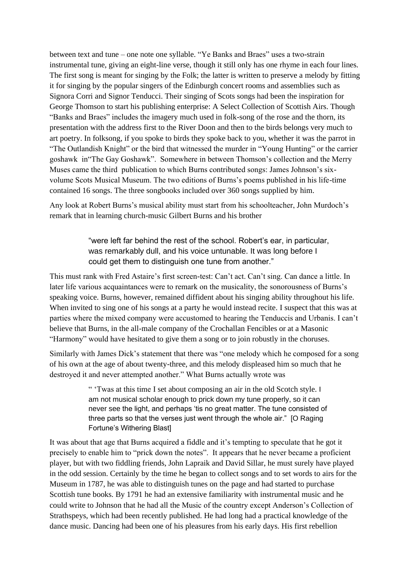between text and tune – one note one syllable. "Ye Banks and Braes" uses a two-strain instrumental tune, giving an eight-line verse, though it still only has one rhyme in each four lines. The first song is meant for singing by the Folk; the latter is written to preserve a melody by fitting it for singing by the popular singers of the Edinburgh concert rooms and assemblies such as Signora Corri and Signor Tenducci. Their singing of Scots songs had been the inspiration for George Thomson to start his publishing enterprise: A Select Collection of Scottish Airs. Though "Banks and Braes" includes the imagery much used in folk-song of the rose and the thorn, its presentation with the address first to the River Doon and then to the birds belongs very much to art poetry. In folksong, if you spoke to birds they spoke back to you, whether it was the parrot in "The Outlandish Knight" or the bird that witnessed the murder in "Young Hunting" or the carrier goshawk in"The Gay Goshawk". Somewhere in between Thomson's collection and the Merry Muses came the third publication to which Burns contributed songs: James Johnson's sixvolume Scots Musical Museum. The two editions of Burns's poems published in his life-time contained 16 songs. The three songbooks included over 360 songs supplied by him.

Any look at Robert Burns's musical ability must start from his schoolteacher, John Murdoch's remark that in learning church-music Gilbert Burns and his brother

> "were left far behind the rest of the school. Robert's ear, in particular, was remarkably dull, and his voice untunable. It was long before I could get them to distinguish one tune from another."

This must rank with Fred Astaire's first screen-test: Can't act. Can't sing. Can dance a little. In later life various acquaintances were to remark on the musicality, the sonorousness of Burns's speaking voice. Burns, however, remained diffident about his singing ability throughout his life. When invited to sing one of his songs at a party he would instead recite. I suspect that this was at parties where the mixed company were accustomed to hearing the Tenduccis and Urbanis. I can't believe that Burns, in the all-male company of the Crochallan Fencibles or at a Masonic "Harmony" would have hesitated to give them a song or to join robustly in the choruses.

Similarly with James Dick's statement that there was "one melody which he composed for a song of his own at the age of about twenty-three, and this melody displeased him so much that he destroyed it and never attempted another." What Burns actually wrote was

> " 'Twas at this time I set about composing an air in the old Scotch style. I am not musical scholar enough to prick down my tune properly, so it can never see the light, and perhaps 'tis no great matter. The tune consisted of three parts so that the verses just went through the whole air." [O Raging Fortune's Withering Blast]

It was about that age that Burns acquired a fiddle and it's tempting to speculate that he got it precisely to enable him to "prick down the notes". It appears that he never became a proficient player, but with two fiddling friends, John Lapraik and David Sillar, he must surely have played in the odd session. Certainly by the time he began to collect songs and to set words to airs for the Museum in 1787, he was able to distinguish tunes on the page and had started to purchase Scottish tune books. By 1791 he had an extensive familiarity with instrumental music and he could write to Johnson that he had all the Music of the country except Anderson's Collection of Strathspeys, which had been recently published. He had long had a practical knowledge of the dance music. Dancing had been one of his pleasures from his early days. His first rebellion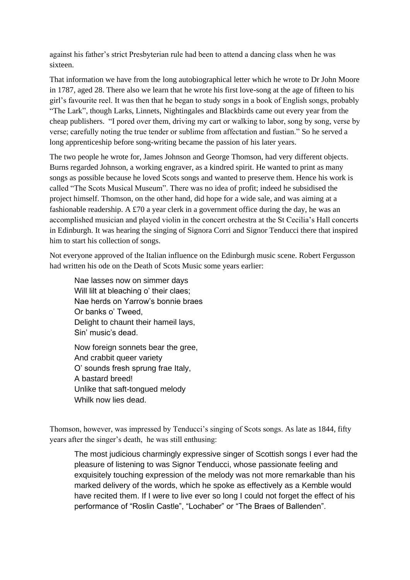against his father's strict Presbyterian rule had been to attend a dancing class when he was sixteen.

That information we have from the long autobiographical letter which he wrote to Dr John Moore in 1787, aged 28. There also we learn that he wrote his first love-song at the age of fifteen to his girl's favourite reel. It was then that he began to study songs in a book of English songs, probably "The Lark", though Larks, Linnets, Nightingales and Blackbirds came out every year from the cheap publishers. "I pored over them, driving my cart or walking to labor, song by song, verse by verse; carefully noting the true tender or sublime from affectation and fustian." So he served a long apprenticeship before song-writing became the passion of his later years.

The two people he wrote for, James Johnson and George Thomson, had very different objects. Burns regarded Johnson, a working engraver, as a kindred spirit. He wanted to print as many songs as possible because he loved Scots songs and wanted to preserve them. Hence his work is called "The Scots Musical Museum". There was no idea of profit; indeed he subsidised the project himself. Thomson, on the other hand, did hope for a wide sale, and was aiming at a fashionable readership. A £70 a year clerk in a government office during the day, he was an accomplished musician and played violin in the concert orchestra at the St Cecilia's Hall concerts in Edinburgh. It was hearing the singing of Signora Corri and Signor Tenducci there that inspired him to start his collection of songs.

Not everyone approved of the Italian influence on the Edinburgh music scene. Robert Fergusson had written his ode on the Death of Scots Music some years earlier:

Nae lasses now on simmer days Will lilt at bleaching o' their claes: Nae herds on Yarrow's bonnie braes Or banks o' Tweed, Delight to chaunt their hameil lays, Sin' music's dead.

Now foreign sonnets bear the gree, And crabbit queer variety O' sounds fresh sprung frae Italy, A bastard breed! Unlike that saft-tongued melody Whilk now lies dead.

Thomson, however, was impressed by Tenducci's singing of Scots songs. As late as 1844, fifty years after the singer's death, he was still enthusing:

The most judicious charmingly expressive singer of Scottish songs I ever had the pleasure of listening to was Signor Tenducci, whose passionate feeling and exquisitely touching expression of the melody was not more remarkable than his marked delivery of the words, which he spoke as effectively as a Kemble would have recited them. If I were to live ever so long I could not forget the effect of his performance of "Roslin Castle", "Lochaber" or "The Braes of Ballenden".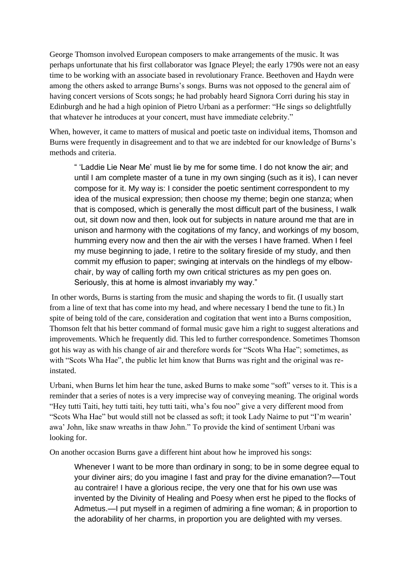George Thomson involved European composers to make arrangements of the music. It was perhaps unfortunate that his first collaborator was Ignace Pleyel; the early 1790s were not an easy time to be working with an associate based in revolutionary France. Beethoven and Haydn were among the others asked to arrange Burns's songs. Burns was not opposed to the general aim of having concert versions of Scots songs; he had probably heard Signora Corri during his stay in Edinburgh and he had a high opinion of Pietro Urbani as a performer: "He sings so delightfully that whatever he introduces at your concert, must have immediate celebrity."

When, however, it came to matters of musical and poetic taste on individual items, Thomson and Burns were frequently in disagreement and to that we are indebted for our knowledge of Burns's methods and criteria.

" 'Laddie Lie Near Me' must lie by me for some time. I do not know the air; and until I am complete master of a tune in my own singing (such as it is), I can never compose for it. My way is: I consider the poetic sentiment correspondent to my idea of the musical expression; then choose my theme; begin one stanza; when that is composed, which is generally the most difficult part of the business, I walk out, sit down now and then, look out for subjects in nature around me that are in unison and harmony with the cogitations of my fancy, and workings of my bosom, humming every now and then the air with the verses I have framed. When I feel my muse beginning to jade, I retire to the solitary fireside of my study, and then commit my effusion to paper; swinging at intervals on the hindlegs of my elbowchair, by way of calling forth my own critical strictures as my pen goes on. Seriously, this at home is almost invariably my way."

In other words, Burns is starting from the music and shaping the words to fit. (I usually start from a line of text that has come into my head, and where necessary I bend the tune to fit.) In spite of being told of the care, consideration and cogitation that went into a Burns composition, Thomson felt that his better command of formal music gave him a right to suggest alterations and improvements. Which he frequently did. This led to further correspondence. Sometimes Thomson got his way as with his change of air and therefore words for "Scots Wha Hae"; sometimes, as with "Scots Wha Hae", the public let him know that Burns was right and the original was reinstated.

Urbani, when Burns let him hear the tune, asked Burns to make some "soft" verses to it. This is a reminder that a series of notes is a very imprecise way of conveying meaning. The original words "Hey tutti Taiti, hey tutti taiti, hey tutti taiti, wha's fou noo" give a very different mood from "Scots Wha Hae" but would still not be classed as soft; it took Lady Nairne to put "I'm wearin' awa' John, like snaw wreaths in thaw John." To provide the kind of sentiment Urbani was looking for.

On another occasion Burns gave a different hint about how he improved his songs:

Whenever I want to be more than ordinary in song; to be in some degree equal to your diviner airs; do you imagine I fast and pray for the divine emanation?—Tout au contraire! I have a glorious recipe, the very one that for his own use was invented by the Divinity of Healing and Poesy when erst he piped to the flocks of Admetus.—I put myself in a regimen of admiring a fine woman; & in proportion to the adorability of her charms, in proportion you are delighted with my verses.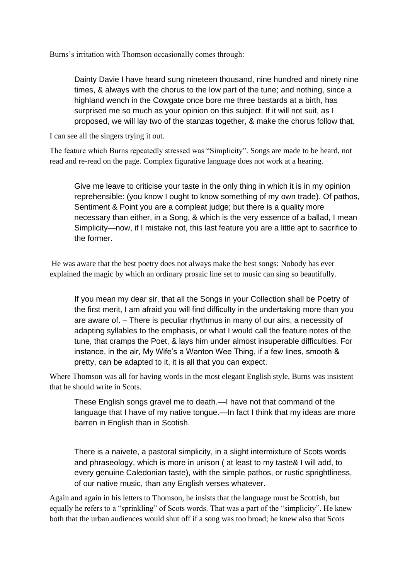Burns's irritation with Thomson occasionally comes through:

Dainty Davie I have heard sung nineteen thousand, nine hundred and ninety nine times, & always with the chorus to the low part of the tune; and nothing, since a highland wench in the Cowgate once bore me three bastards at a birth, has surprised me so much as your opinion on this subject. If it will not suit, as I proposed, we will lay two of the stanzas together, & make the chorus follow that.

I can see all the singers trying it out.

The feature which Burns repeatedly stressed was "Simplicity". Songs are made to be heard, not read and re-read on the page. Complex figurative language does not work at a hearing.

Give me leave to criticise your taste in the only thing in which it is in my opinion reprehensible: (you know I ought to know something of my own trade). Of pathos, Sentiment & Point you are a compleat judge; but there is a quality more necessary than either, in a Song, & which is the very essence of a ballad, I mean Simplicity—now, if I mistake not, this last feature you are a little apt to sacrifice to the former.

He was aware that the best poetry does not always make the best songs: Nobody has ever explained the magic by which an ordinary prosaic line set to music can sing so beautifully.

If you mean my dear sir, that all the Songs in your Collection shall be Poetry of the first merit, I am afraid you will find difficulty in the undertaking more than you are aware of. – There is peculiar rhythmus in many of our airs, a necessity of adapting syllables to the emphasis, or what I would call the feature notes of the tune, that cramps the Poet, & lays him under almost insuperable difficulties. For instance, in the air, My Wife's a Wanton Wee Thing, if a few lines, smooth & pretty, can be adapted to it, it is all that you can expect.

Where Thomson was all for having words in the most elegant English style, Burns was insistent that he should write in Scots.

These English songs gravel me to death.—I have not that command of the language that I have of my native tongue.—In fact I think that my ideas are more barren in English than in Scotish.

There is a naivete, a pastoral simplicity, in a slight intermixture of Scots words and phraseology, which is more in unison ( at least to my taste& I will add, to every genuine Caledonian taste), with the simple pathos, or rustic sprightliness, of our native music, than any English verses whatever.

Again and again in his letters to Thomson, he insists that the language must be Scottish, but equally he refers to a "sprinkling" of Scots words. That was a part of the "simplicity". He knew both that the urban audiences would shut off if a song was too broad; he knew also that Scots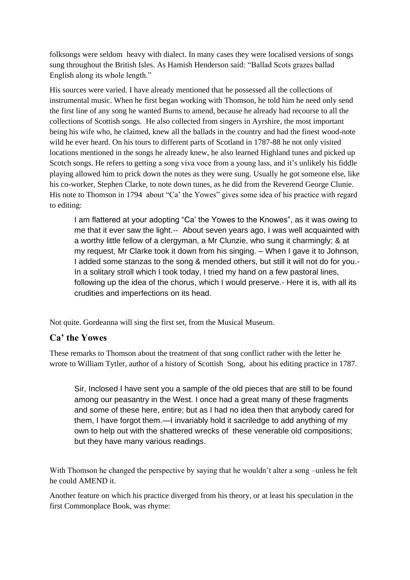folksongs were seldom heavy with dialect. In many cases they were localised versions of songs sung throughout the British Isles. As Hamish Henderson said: "Ballad Scots grazes ballad English along its whole length."

His sources were varied. I have already mentioned that he possessed all the collections of instrumental music. When he first began working with Thomson, he told him he need only send the first line of any song he wanted Burns to amend, because he already had recourse to all the collections of Scottish songs. He also collected from singers in Ayrshire, the most important being his wife who, he claimed, knew all the ballads in the country and had the finest wood-note wild he ever heard. On his tours to different parts of Scotland in 1787-88 he not only visited locations mentioned in the songs he already knew, he also learned Highland tunes and picked up Scotch songs. He refers to getting a song viva voce from a young lass, and it's unlikely his fiddle playing allowed him to prick down the notes as they were sung. Usually he got someone else, like his co-worker, Stephen Clarke, to note down tunes, as he did from the Reverend George Clunie. His note to Thomson in 1794 about "Ca' the Yowes" gives some idea of his practice with regard to editing:

I am flattered at your adopting "Ca' the Yowes to the Knowes", as it was owing to me that it ever saw the light.-- About seven years ago, I was well acquainted with a worthy little fellow of a clergyman, a Mr Clunzie, who sung it charmingly; & at my request, Mr Clarke took it down from his singing. – When I gave it to Johnson, I added some stanzas to the song & mended others, but still it will not do for you.- In a solitary stroll which I took today, I tried my hand on a few pastoral lines, following up the idea of the chorus, which I would preserve.- Here it is, with all its crudities and imperfections on its head.

Not quite. Gordeanna will sing the first set, from the Musical Museum.

## **Ca' the Yowes**

These remarks to Thomson about the treatment of that song conflict rather with the letter he wrote to William Tytler, author of a history of Scottish Song, about his editing practice in 1787.

Sir, Inclosed I have sent you a sample of the old pieces that are still to be found among our peasantry in the West. I once had a great many of these fragments and some of these here, entire; but as I had no idea then that anybody cared for them, I have forgot them.—I invariably hold it sacriledge to add anything of my own to help out with the shattered wrecks of these venerable old compositions; but they have many various readings.

With Thomson he changed the perspective by saying that he wouldn't alter a song –unless he felt he could AMEND it.

Another feature on which his practice diverged from his theory, or at least his speculation in the first Commonplace Book, was rhyme: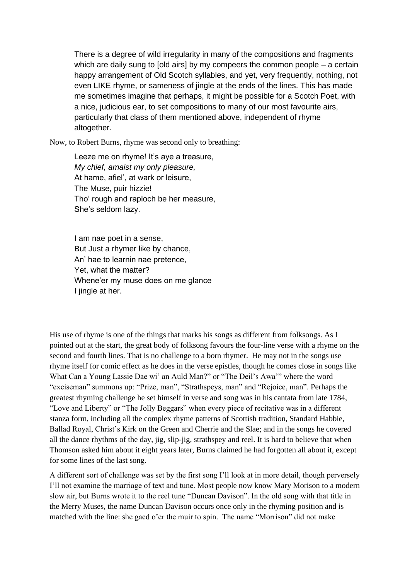There is a degree of wild irregularity in many of the compositions and fragments which are daily sung to [old airs] by my compeers the common people – a certain happy arrangement of Old Scotch syllables, and yet, very frequently, nothing, not even LIKE rhyme, or sameness of jingle at the ends of the lines. This has made me sometimes imagine that perhaps, it might be possible for a Scotch Poet, with a nice, judicious ear, to set compositions to many of our most favourite airs, particularly that class of them mentioned above, independent of rhyme altogether.

Now, to Robert Burns, rhyme was second only to breathing:

Leeze me on rhyme! It's aye a treasure, *My chief, amaist my only pleasure,* At hame, afiel', at wark or leisure, The Muse, puir hizzie! Tho' rough and raploch be her measure, She's seldom lazy.

I am nae poet in a sense, But Just a rhymer like by chance, An' hae to learnin nae pretence, Yet, what the matter? Whene'er my muse does on me glance I jingle at her.

His use of rhyme is one of the things that marks his songs as different from folksongs. As I pointed out at the start, the great body of folksong favours the four-line verse with a rhyme on the second and fourth lines. That is no challenge to a born rhymer. He may not in the songs use rhyme itself for comic effect as he does in the verse epistles, though he comes close in songs like What Can a Young Lassie Dae wi' an Auld Man?" or "The Deil's Awa'" where the word "exciseman" summons up: "Prize, man", "Strathspeys, man" and "Rejoice, man". Perhaps the greatest rhyming challenge he set himself in verse and song was in his cantata from late 1784, "Love and Liberty" or "The Jolly Beggars" when every piece of recitative was in a different stanza form, including all the complex rhyme patterns of Scottish tradition, Standard Habbie, Ballad Royal, Christ's Kirk on the Green and Cherrie and the Slae; and in the songs he covered all the dance rhythms of the day, jig, slip-jig, strathspey and reel. It is hard to believe that when Thomson asked him about it eight years later, Burns claimed he had forgotten all about it, except for some lines of the last song.

A different sort of challenge was set by the first song I'll look at in more detail, though perversely I'll not examine the marriage of text and tune. Most people now know Mary Morison to a modern slow air, but Burns wrote it to the reel tune "Duncan Davison". In the old song with that title in the Merry Muses, the name Duncan Davison occurs once only in the rhyming position and is matched with the line: she gaed o'er the muir to spin. The name "Morrison" did not make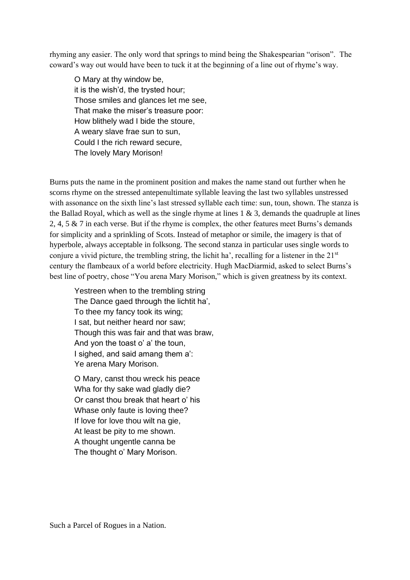rhyming any easier. The only word that springs to mind being the Shakespearian "orison". The coward's way out would have been to tuck it at the beginning of a line out of rhyme's way.

O Mary at thy window be, it is the wish'd, the trysted hour; Those smiles and glances let me see, That make the miser's treasure poor: How blithely wad I bide the stoure, A weary slave frae sun to sun, Could I the rich reward secure, The lovely Mary Morison!

Burns puts the name in the prominent position and makes the name stand out further when he scorns rhyme on the stressed antepenultimate syllable leaving the last two syllables unstressed with assonance on the sixth line's last stressed syllable each time: sun, toun, shown. The stanza is the Ballad Royal, which as well as the single rhyme at lines  $1 \& 3$ , demands the quadruple at lines 2, 4, 5 & 7 in each verse. But if the rhyme is complex, the other features meet Burns's demands for simplicity and a sprinkling of Scots. Instead of metaphor or simile, the imagery is that of hyperbole, always acceptable in folksong. The second stanza in particular uses single words to conjure a vivid picture, the trembling string, the lichit ha', recalling for a listener in the 21<sup>st</sup> century the flambeaux of a world before electricity. Hugh MacDiarmid, asked to select Burns's best line of poetry, chose "You arena Mary Morison," which is given greatness by its context.

Yestreen when to the trembling string The Dance gaed through the lichtit ha', To thee my fancy took its wing; I sat, but neither heard nor saw; Though this was fair and that was braw, And yon the toast o' a' the toun, I sighed, and said amang them a': Ye arena Mary Morison.

O Mary, canst thou wreck his peace Wha for thy sake wad gladly die? Or canst thou break that heart o' his Whase only faute is loving thee? If love for love thou wilt na gie, At least be pity to me shown. A thought ungentle canna be The thought o' Mary Morison.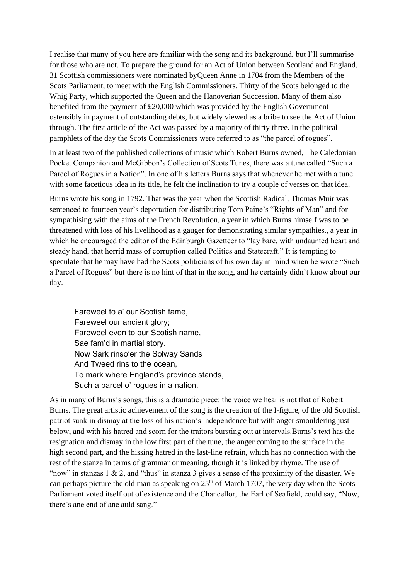I realise that many of you here are familiar with the song and its background, but I'll summarise for those who are not. To prepare the ground for an Act of Union between Scotland and England, 31 Scottish commissioners were nominated byQueen Anne in 1704 from the Members of the Scots Parliament, to meet with the English Commissioners. Thirty of the Scots belonged to the Whig Party, which supported the Queen and the Hanoverian Succession. Many of them also benefited from the payment of £20,000 which was provided by the English Government ostensibly in payment of outstanding debts, but widely viewed as a bribe to see the Act of Union through. The first article of the Act was passed by a majority of thirty three. In the political pamphlets of the day the Scots Commissioners were referred to as "the parcel of rogues".

In at least two of the published collections of music which Robert Burns owned, The Caledonian Pocket Companion and McGibbon's Collection of Scots Tunes, there was a tune called "Such a Parcel of Rogues in a Nation". In one of his letters Burns says that whenever he met with a tune with some facetious idea in its title, he felt the inclination to try a couple of verses on that idea.

Burns wrote his song in 1792. That was the year when the Scottish Radical, Thomas Muir was sentenced to fourteen year's deportation for distributing Tom Paine's "Rights of Man" and for sympathising with the aims of the French Revolution, a year in which Burns himself was to be threatened with loss of his livelihood as a gauger for demonstrating similar sympathies., a year in which he encouraged the editor of the Edinburgh Gazetteer to "lay bare, with undaunted heart and steady hand, that horrid mass of corruption called Politics and Statecraft." It is tempting to speculate that he may have had the Scots politicians of his own day in mind when he wrote "Such a Parcel of Rogues" but there is no hint of that in the song, and he certainly didn't know about our day.

Fareweel to a' our Scotish fame, Fareweel our ancient glory; Fareweel even to our Scotish name, Sae fam'd in martial story. Now Sark rinso'er the Solway Sands And Tweed rins to the ocean, To mark where England's province stands, Such a parcel o' rogues in a nation.

As in many of Burns's songs, this is a dramatic piece: the voice we hear is not that of Robert Burns. The great artistic achievement of the song is the creation of the I-figure, of the old Scottish patriot sunk in dismay at the loss of his nation's independence but with anger smouldering just below, and with his hatred and scorn for the traitors bursting out at intervals.Burns's text has the resignation and dismay in the low first part of the tune, the anger coming to the surface in the high second part, and the hissing hatred in the last-line refrain, which has no connection with the rest of the stanza in terms of grammar or meaning, though it is linked by rhyme. The use of "now" in stanzas 1 & 2, and "thus" in stanza 3 gives a sense of the proximity of the disaster. We can perhaps picture the old man as speaking on  $25<sup>th</sup>$  of March 1707, the very day when the Scots Parliament voted itself out of existence and the Chancellor, the Earl of Seafield, could say, "Now, there's ane end of ane auld sang."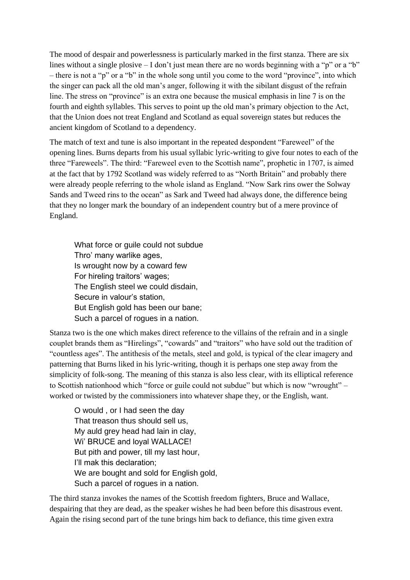The mood of despair and powerlessness is particularly marked in the first stanza. There are six lines without a single plosive – I don't just mean there are no words beginning with a "p" or a "b" – there is not a "p" or a "b" in the whole song until you come to the word "province", into which the singer can pack all the old man's anger, following it with the sibilant disgust of the refrain line. The stress on "province" is an extra one because the musical emphasis in line 7 is on the fourth and eighth syllables. This serves to point up the old man's primary objection to the Act, that the Union does not treat England and Scotland as equal sovereign states but reduces the ancient kingdom of Scotland to a dependency.

The match of text and tune is also important in the repeated despondent "Fareweel" of the opening lines. Burns departs from his usual syllabic lyric-writing to give four notes to each of the three "Fareweels". The third: "Fareweel even to the Scottish name", prophetic in 1707, is aimed at the fact that by 1792 Scotland was widely referred to as "North Britain" and probably there were already people referring to the whole island as England. "Now Sark rins ower the Solway Sands and Tweed rins to the ocean" as Sark and Tweed had always done, the difference being that they no longer mark the boundary of an independent country but of a mere province of England.

What force or guile could not subdue Thro' many warlike ages, Is wrought now by a coward few For hireling traitors' wages; The English steel we could disdain, Secure in valour's station, But English gold has been our bane; Such a parcel of rogues in a nation.

Stanza two is the one which makes direct reference to the villains of the refrain and in a single couplet brands them as "Hirelings", "cowards" and "traitors" who have sold out the tradition of "countless ages". The antithesis of the metals, steel and gold, is typical of the clear imagery and patterning that Burns liked in his lyric-writing, though it is perhaps one step away from the simplicity of folk-song. The meaning of this stanza is also less clear, with its elliptical reference to Scottish nationhood which "force or guile could not subdue" but which is now "wrought" – worked or twisted by the commissioners into whatever shape they, or the English, want.

O would , or I had seen the day That treason thus should sell us, My auld grey head had lain in clay, Wi' BRUCE and loyal WALLACE! But pith and power, till my last hour, I'll mak this declaration; We are bought and sold for English gold, Such a parcel of rogues in a nation.

The third stanza invokes the names of the Scottish freedom fighters, Bruce and Wallace, despairing that they are dead, as the speaker wishes he had been before this disastrous event. Again the rising second part of the tune brings him back to defiance, this time given extra